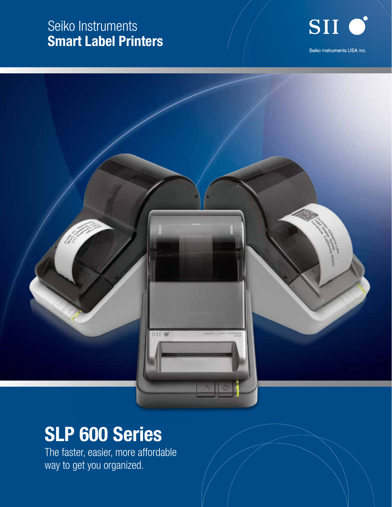### Seiko Instruments Smart Label Printers





# SLP 600 Series

The faster, easier, more affordable way to get you organized.

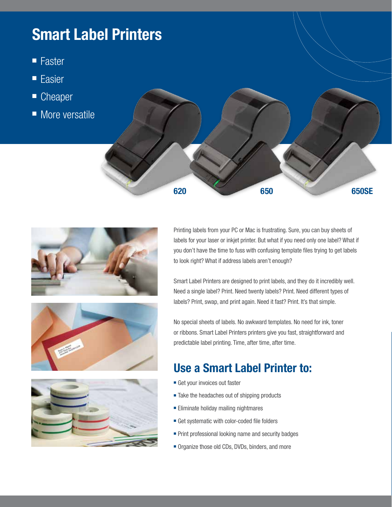## Smart Label Printers

- **Faster**
- **Easier**
- Cheaper
- $\blacksquare$  More versatile









Printing labels from your PC or Mac is frustrating. Sure, you can buy sheets of labels for your laser or inkjet printer. But what if you need only one label? What if you don't have the time to fuss with confusing template files trying to get labels to look right? What if address labels aren't enough?

Smart Label Printers are designed to print labels, and they do it incredibly well. Need a single label? Print. Need twenty labels? Print. Need different types of labels? Print, swap, and print again. Need it fast? Print. It's that simple.

No special sheets of labels. No awkward templates. No need for ink, toner or ribbons. Smart Label Printers printers give you fast, straightforward and predictable label printing. Time, after time, after time.

### Use a Smart Label Printer to:

- Get your invoices out faster
- $\blacksquare$  Take the headaches out of shipping products
- **Eliminate holiday mailing nightmares**
- Get systematic with color-coded file folders
- $\blacksquare$  Print professional looking name and security badges
- Organize those old CDs, DVDs, binders, and more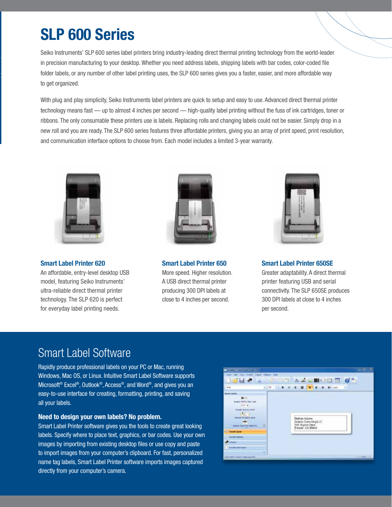## SLP 600 Series

Seiko Instruments' SLP 600 series label printers bring industry-leading direct thermal printing technology from the world-leader in precision manufacturing to your desktop. Whether you need address labels, shipping labels with bar codes, color-coded file folder labels, or any number of other label printing uses, the SLP 600 series gives you a faster, easier, and more affordable way to get organized.

With plug and play simplicity, Seiko Instruments label printers are quick to setup and easy to use. Advanced direct thermal printer technology means fast — up to almost 4 inches per second — high-quality label printing without the fuss of ink cartridges, toner or ribbons. The only consumable these printers use is labels. Replacing rolls and changing labels could not be easier. Simply drop in a new roll and you are ready. The SLP 600 series features three affordable printers, giving you an array of print speed, print resolution, and communication interface options to choose from. Each model includes a limited 3-year warranty.



Smart Label Printer 620

An affordable, entry-level desktop USB model, featuring Seiko Instruments' ultra-reliable direct thermal printer technology. The SLP 620 is perfect for everyday label printing needs.



Smart Label Printer 650 More speed. Higher resolution. A USB direct thermal printer producing 300 DPI labels at close to 4 inches per second.



Smart Label Printer 650SE Greater adaptability. A direct thermal printer featuring USB and serial connectivity. The SLP 650SE produces 300 DPI labels at close to 4 inches per second.

#### Smart Label Software

Rapidly produce professional labels on your PC or Mac, running Windows, Mac OS, or Linux. Intuitive Smart Label Software supports Microsoft® Excel®, Outlook®, Access®, and Word®, and gives you an easy-to-use interface for creating, formatting, printing, and saving all your labels.

#### Need to design your own labels? No problem.

Smart Label Printer software gives you the tools to create great looking labels. Specify where to place text, graphics, or bar codes. Use your own images by importing from existing desktop files or use copy and paste to import images from your computer's clipboard. For fast, personalized name tag labels, Smart Label Printer software imports images captured directly from your computer's camera.